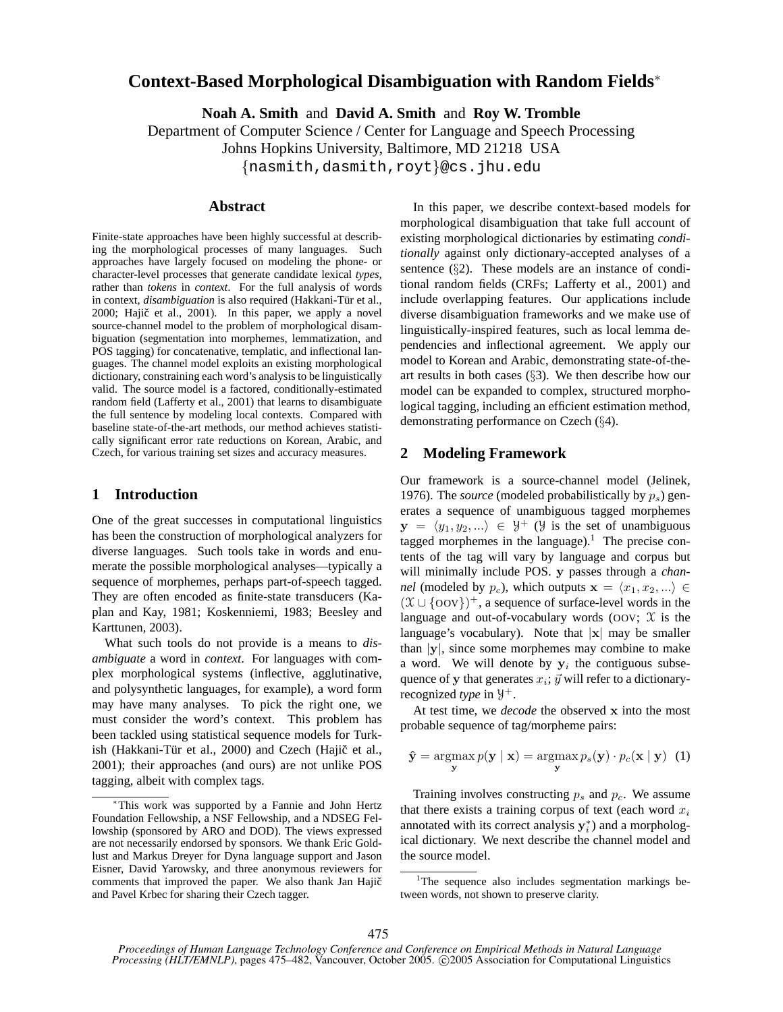# **Context-Based Morphological Disambiguation with Random Fields**<sup>∗</sup>

**Noah A. Smith** and **David A. Smith** and **Roy W. Tromble**

Department of Computer Science / Center for Language and Speech Processing

Johns Hopkins University, Baltimore, MD 21218 USA

{nasmith,dasmith,royt}@cs.jhu.edu

# **Abstract**

Finite-state approaches have been highly successful at describing the morphological processes of many languages. Such approaches have largely focused on modeling the phone- or character-level processes that generate candidate lexical *types*, rather than *tokens* in *context*. For the full analysis of words in context, *disambiguation* is also required (Hakkani-Tür et al.,  $2000$ ; Hajič et al.,  $2001$ ). In this paper, we apply a novel source-channel model to the problem of morphological disambiguation (segmentation into morphemes, lemmatization, and POS tagging) for concatenative, templatic, and inflectional languages. The channel model exploits an existing morphological dictionary, constraining each word's analysis to be linguistically valid. The source model is a factored, conditionally-estimated random field (Lafferty et al., 2001) that learns to disambiguate the full sentence by modeling local contexts. Compared with baseline state-of-the-art methods, our method achieves statistically significant error rate reductions on Korean, Arabic, and Czech, for various training set sizes and accuracy measures.

# **1 Introduction**

One of the great successes in computational linguistics has been the construction of morphological analyzers for diverse languages. Such tools take in words and enumerate the possible morphological analyses—typically a sequence of morphemes, perhaps part-of-speech tagged. They are often encoded as finite-state transducers (Kaplan and Kay, 1981; Koskenniemi, 1983; Beesley and Karttunen, 2003).

What such tools do not provide is a means to *disambiguate* a word in *context*. For languages with complex morphological systems (inflective, agglutinative, and polysynthetic languages, for example), a word form may have many analyses. To pick the right one, we must consider the word's context. This problem has been tackled using statistical sequence models for Turkish (Hakkani-Tür et al., 2000) and Czech (Hajič et al., 2001); their approaches (and ours) are not unlike POS tagging, albeit with complex tags.

In this paper, we describe context-based models for morphological disambiguation that take full account of existing morphological dictionaries by estimating *conditionally* against only dictionary-accepted analyses of a sentence  $(\S 2)$ . These models are an instance of conditional random fields (CRFs; Lafferty et al., 2001) and include overlapping features. Our applications include diverse disambiguation frameworks and we make use of linguistically-inspired features, such as local lemma dependencies and inflectional agreement. We apply our model to Korean and Arabic, demonstrating state-of-theart results in both cases (§3). We then describe how our model can be expanded to complex, structured morphological tagging, including an efficient estimation method, demonstrating performance on Czech (§4).

# **2 Modeling Framework**

Our framework is a source-channel model (Jelinek, 1976). The *source* (modeled probabilistically by  $p_s$ ) generates a sequence of unambiguous tagged morphemes  $y = \langle y_1, y_2, \ldots \rangle \in \mathcal{Y}^+$  (*Y* is the set of unambiguous tagged morphemes in the language).<sup>1</sup> The precise contents of the tag will vary by language and corpus but will minimally include POS. y passes through a *channel* (modeled by  $p_c$ ), which outputs  $\mathbf{x} = \langle x_1, x_2, \ldots \rangle \in$  $(\mathfrak{X} \cup \{ \text{ooV} \})^+$ , a sequence of surface-level words in the language and out-of-vocabulary words (OOV;  $\mathcal X$  is the language's vocabulary). Note that  $|x|$  may be smaller than  $|y|$ , since some morphemes may combine to make a word. We will denote by  $y_i$  the contiguous subsequence of y that generates  $x_i$ ;  $\vec{y}$  will refer to a dictionaryrecognized *type* in Y +.

At test time, we *decode* the observed x into the most probable sequence of tag/morpheme pairs:

$$
\hat{\mathbf{y}} = \operatorname*{argmax}_{\mathbf{y}} p(\mathbf{y} \mid \mathbf{x}) = \operatorname*{argmax}_{\mathbf{y}} p_s(\mathbf{y}) \cdot p_c(\mathbf{x} \mid \mathbf{y}) \tag{1}
$$

Training involves constructing  $p_s$  and  $p_c$ . We assume that there exists a training corpus of text (each word  $x_i$ ) annotated with its correct analysis  $y_i^*$ ) and a morphological dictionary. We next describe the channel model and the source model.

<sup>∗</sup>This work was supported by a Fannie and John Hertz Foundation Fellowship, a NSF Fellowship, and a NDSEG Fellowship (sponsored by ARO and DOD). The views expressed are not necessarily endorsed by sponsors. We thank Eric Goldlust and Markus Dreyer for Dyna language support and Jason Eisner, David Yarowsky, and three anonymous reviewers for comments that improved the paper. We also thank Jan Hajič and Pavel Krbec for sharing their Czech tagger.

<sup>&</sup>lt;sup>1</sup>The sequence also includes segmentation markings between words, not shown to preserve clarity.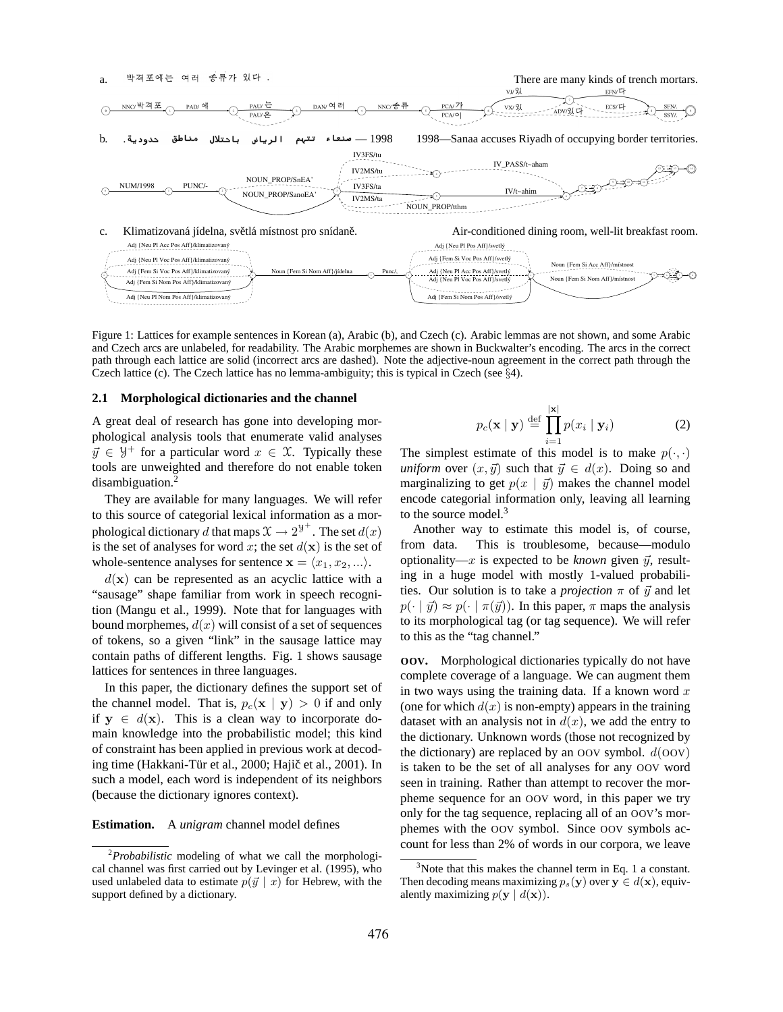

Figure 1: Lattices for example sentences in Korean (a), Arabic (b), and Czech (c). Arabic lemmas are not shown, and some Arabic and Czech arcs are unlabeled, for readability. The Arabic morphemes are shown in Buckwalter's encoding. The arcs in the correct path through each lattice are solid (incorrect arcs are dashed). Note the adjective-noun agreement in the correct path through the Czech lattice (c). The Czech lattice has no lemma-ambiguity; this is typical in Czech (see §4).

#### **2.1 Morphological dictionaries and the channel**

A great deal of research has gone into developing morphological analysis tools that enumerate valid analyses  $\vec{y} \in \mathcal{Y}^+$  for a particular word  $x \in \mathcal{X}$ . Typically these tools are unweighted and therefore do not enable token disambiguation.<sup>2</sup>

They are available for many languages. We will refer to this source of categorial lexical information as a morphological dictionary d that maps  $\mathfrak{X} \to 2^{\mathfrak{Y}^+}$ . The set  $d(x)$ is the set of analyses for word x; the set  $d(\mathbf{x})$  is the set of whole-sentence analyses for sentence  $\mathbf{x} = \langle x_1, x_2, \ldots \rangle$ .

 $d(\mathbf{x})$  can be represented as an acyclic lattice with a "sausage" shape familiar from work in speech recognition (Mangu et al., 1999). Note that for languages with bound morphemes,  $d(x)$  will consist of a set of sequences of tokens, so a given "link" in the sausage lattice may contain paths of different lengths. Fig. 1 shows sausage lattices for sentences in three languages.

In this paper, the dictionary defines the support set of the channel model. That is,  $p_c(\mathbf{x} \mid \mathbf{y}) > 0$  if and only if  $y \in d(x)$ . This is a clean way to incorporate domain knowledge into the probabilistic model; this kind of constraint has been applied in previous work at decoding time (Hakkani-Tür et al., 2000; Hajič et al., 2001). In such a model, each word is independent of its neighbors (because the dictionary ignores context).

**Estimation.** A *unigram* channel model defines

$$
p_c(\mathbf{x} \mid \mathbf{y}) \stackrel{\text{def}}{=} \prod_{i=1}^{|\mathbf{x}|} p(x_i \mid \mathbf{y}_i)
$$
 (2)

The simplest estimate of this model is to make  $p(\cdot, \cdot)$ *uniform* over  $(x, \vec{y})$  such that  $\vec{y} \in d(x)$ . Doing so and marginalizing to get  $p(x | \vec{y})$  makes the channel model encode categorial information only, leaving all learning to the source model.<sup>3</sup>

Another way to estimate this model is, of course, from data. This is troublesome, because—modulo optionality—x is expected to be *known* given  $\vec{y}$ , resulting in a huge model with mostly 1-valued probabilities. Our solution is to take a *projection*  $\pi$  of  $\vec{y}$  and let  $p(\cdot | \vec{y}) \approx p(\cdot | \pi(\vec{y}))$ . In this paper,  $\pi$  maps the analysis to its morphological tag (or tag sequence). We will refer to this as the "tag channel."

**OOV.** Morphological dictionaries typically do not have complete coverage of a language. We can augment them in two ways using the training data. If a known word  $x$ (one for which  $d(x)$  is non-empty) appears in the training dataset with an analysis not in  $d(x)$ , we add the entry to the dictionary. Unknown words (those not recognized by the dictionary) are replaced by an OOV symbol.  $d(OOV)$ is taken to be the set of all analyses for any OOV word seen in training. Rather than attempt to recover the morpheme sequence for an OOV word, in this paper we try only for the tag sequence, replacing all of an OOV's morphemes with the OOV symbol. Since OOV symbols account for less than 2% of words in our corpora, we leave

<sup>2</sup>*Probabilistic* modeling of what we call the morphological channel was first carried out by Levinger et al. (1995), who used unlabeled data to estimate  $p(\vec{y} \mid x)$  for Hebrew, with the support defined by a dictionary.

 $3$ Note that this makes the channel term in Eq. 1 a constant. Then decoding means maximizing  $p_s(\mathbf{y})$  over  $\mathbf{y} \in d(\mathbf{x})$ , equivalently maximizing  $p(y | d(x))$ .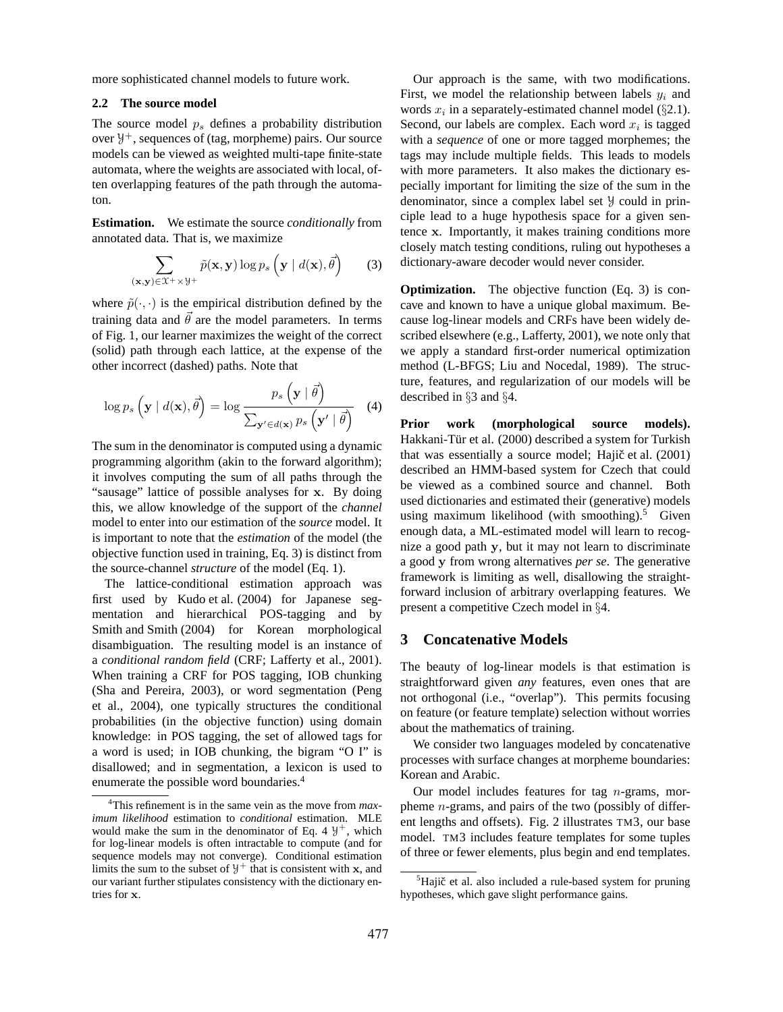more sophisticated channel models to future work.

### **2.2 The source model**

The source model  $p<sub>s</sub>$  defines a probability distribution over Y <sup>+</sup>, sequences of (tag, morpheme) pairs. Our source models can be viewed as weighted multi-tape finite-state automata, where the weights are associated with local, often overlapping features of the path through the automaton.

**Estimation.** We estimate the source *conditionally* from annotated data. That is, we maximize

$$
\sum_{(\mathbf{x}, \mathbf{y}) \in \mathcal{X}^+ \times \mathcal{Y}^+} \tilde{p}(\mathbf{x}, \mathbf{y}) \log p_s \left( \mathbf{y} \mid d(\mathbf{x}), \vec{\theta} \right) \tag{3}
$$

where  $\tilde{p}(\cdot, \cdot)$  is the empirical distribution defined by the training data and  $\vec{\theta}$  are the model parameters. In terms of Fig. 1, our learner maximizes the weight of the correct (solid) path through each lattice, at the expense of the other incorrect (dashed) paths. Note that

$$
\log p_s\left(\mathbf{y} \mid d(\mathbf{x}), \vec{\theta}\right) = \log \frac{p_s\left(\mathbf{y} \mid \vec{\theta}\right)}{\sum_{\mathbf{y}' \in d(\mathbf{x})} p_s\left(\mathbf{y}' \mid \vec{\theta}\right)}
$$
(4)

The sum in the denominator is computed using a dynamic programming algorithm (akin to the forward algorithm); it involves computing the sum of all paths through the "sausage" lattice of possible analyses for x. By doing this, we allow knowledge of the support of the *channel* model to enter into our estimation of the *source* model. It is important to note that the *estimation* of the model (the objective function used in training, Eq. 3) is distinct from the source-channel *structure* of the model (Eq. 1).

The lattice-conditional estimation approach was first used by Kudo et al. (2004) for Japanese segmentation and hierarchical POS-tagging and by Smith and Smith (2004) for Korean morphological disambiguation. The resulting model is an instance of a *conditional random field* (CRF; Lafferty et al., 2001). When training a CRF for POS tagging, IOB chunking (Sha and Pereira, 2003), or word segmentation (Peng et al., 2004), one typically structures the conditional probabilities (in the objective function) using domain knowledge: in POS tagging, the set of allowed tags for a word is used; in IOB chunking, the bigram "O I" is disallowed; and in segmentation, a lexicon is used to enumerate the possible word boundaries.<sup>4</sup>

Our approach is the same, with two modifications. First, we model the relationship between labels  $y_i$  and words  $x_i$  in a separately-estimated channel model (§2.1). Second, our labels are complex. Each word  $x_i$  is tagged with a *sequence* of one or more tagged morphemes; the tags may include multiple fields. This leads to models with more parameters. It also makes the dictionary especially important for limiting the size of the sum in the denominator, since a complex label set Y could in principle lead to a huge hypothesis space for a given sentence x. Importantly, it makes training conditions more closely match testing conditions, ruling out hypotheses a dictionary-aware decoder would never consider.

**Optimization.** The objective function (Eq. 3) is concave and known to have a unique global maximum. Because log-linear models and CRFs have been widely described elsewhere (e.g., Lafferty, 2001), we note only that we apply a standard first-order numerical optimization method (L-BFGS; Liu and Nocedal, 1989). The structure, features, and regularization of our models will be described in §3 and §4.

**Prior work (morphological source models).** Hakkani-Tür et al. (2000) described a system for Turkish that was essentially a source model; Hajič et al. (2001) described an HMM-based system for Czech that could be viewed as a combined source and channel. Both used dictionaries and estimated their (generative) models using maximum likelihood (with smoothing). $5$  Given enough data, a ML-estimated model will learn to recognize a good path y, but it may not learn to discriminate a good y from wrong alternatives *per se*. The generative framework is limiting as well, disallowing the straightforward inclusion of arbitrary overlapping features. We present a competitive Czech model in §4.

# **3 Concatenative Models**

The beauty of log-linear models is that estimation is straightforward given *any* features, even ones that are not orthogonal (i.e., "overlap"). This permits focusing on feature (or feature template) selection without worries about the mathematics of training.

We consider two languages modeled by concatenative processes with surface changes at morpheme boundaries: Korean and Arabic.

Our model includes features for tag  $n$ -grams, morpheme  $n$ -grams, and pairs of the two (possibly of different lengths and offsets). Fig. 2 illustrates TM3, our base model. TM3 includes feature templates for some tuples of three or fewer elements, plus begin and end templates.

<sup>4</sup>This refinement is in the same vein as the move from *maximum likelihood* estimation to *conditional* estimation. MLE would make the sum in the denominator of Eq. 4  $\mathcal{Y}^+$ , which for log-linear models is often intractable to compute (and for sequence models may not converge). Conditional estimation limits the sum to the subset of  $y^+$  that is consistent with x, and our variant further stipulates consistency with the dictionary entries for x.

 ${}^{5}$ Hajič et al. also included a rule-based system for pruning hypotheses, which gave slight performance gains.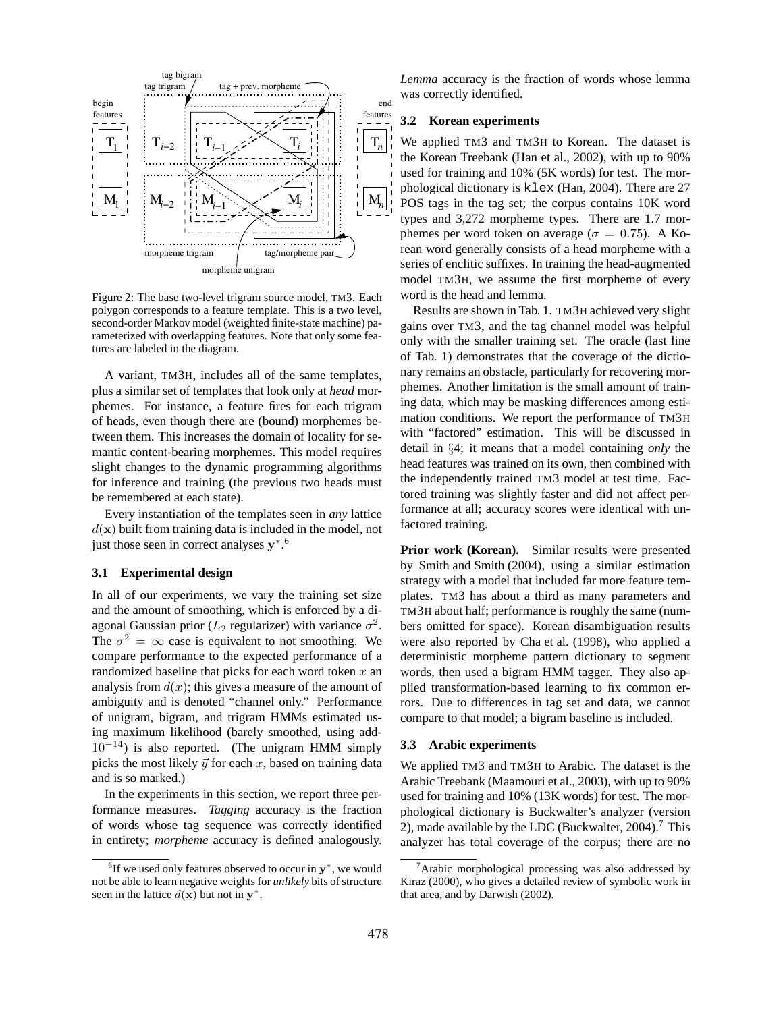

Figure 2: The base two-level trigram source model, TM3. Each polygon corresponds to a feature template. This is a two level, second-order Markov model (weighted finite-state machine) parameterized with overlapping features. Note that only some features are labeled in the diagram.

A variant, TM3H, includes all of the same templates, plus a similar set of templates that look only at *head* morphemes. For instance, a feature fires for each trigram of heads, even though there are (bound) morphemes between them. This increases the domain of locality for semantic content-bearing morphemes. This model requires slight changes to the dynamic programming algorithms for inference and training (the previous two heads must be remembered at each state).

Every instantiation of the templates seen in *any* lattice  $d(\mathbf{x})$  built from training data is included in the model, not just those seen in correct analyses y<sup>\*</sup>.<sup>6</sup>

#### **3.1 Experimental design**

In all of our experiments, we vary the training set size and the amount of smoothing, which is enforced by a diagonal Gaussian prior ( $L_2$  regularizer) with variance  $\sigma^2$ . The  $\sigma^2 = \infty$  case is equivalent to not smoothing. We compare performance to the expected performance of a randomized baseline that picks for each word token  $x$  and analysis from  $d(x)$ ; this gives a measure of the amount of ambiguity and is denoted "channel only." Performance of unigram, bigram, and trigram HMMs estimated using maximum likelihood (barely smoothed, using add- $10^{-14}$ ) is also reported. (The unigram HMM simply picks the most likely  $\vec{y}$  for each x, based on training data and is so marked.)

In the experiments in this section, we report three performance measures. *Tagging* accuracy is the fraction of words whose tag sequence was correctly identified in entirety; *morpheme* accuracy is defined analogously.

*Lemma* accuracy is the fraction of words whose lemma was correctly identified.

#### **3.2 Korean experiments**

We applied TM3 and TM3H to Korean. The dataset is the Korean Treebank (Han et al., 2002), with up to 90% used for training and 10% (5K words) for test. The morphological dictionary is klex (Han, 2004). There are 27 POS tags in the tag set; the corpus contains 10K word types and 3,272 morpheme types. There are 1.7 morphemes per word token on average ( $\sigma = 0.75$ ). A Korean word generally consists of a head morpheme with a series of enclitic suffixes. In training the head-augmented model TM3H, we assume the first morpheme of every word is the head and lemma.

Results are shown in Tab. 1. TM3H achieved very slight gains over TM3, and the tag channel model was helpful only with the smaller training set. The oracle (last line of Tab. 1) demonstrates that the coverage of the dictionary remains an obstacle, particularly for recovering morphemes. Another limitation is the small amount of training data, which may be masking differences among estimation conditions. We report the performance of TM3H with "factored" estimation. This will be discussed in detail in §4; it means that a model containing *only* the head features was trained on its own, then combined with the independently trained TM3 model at test time. Factored training was slightly faster and did not affect performance at all; accuracy scores were identical with unfactored training.

**Prior work (Korean).** Similar results were presented by Smith and Smith (2004), using a similar estimation strategy with a model that included far more feature templates. TM3 has about a third as many parameters and TM3H about half; performance is roughly the same (numbers omitted for space). Korean disambiguation results were also reported by Cha et al. (1998), who applied a deterministic morpheme pattern dictionary to segment words, then used a bigram HMM tagger. They also applied transformation-based learning to fix common errors. Due to differences in tag set and data, we cannot compare to that model; a bigram baseline is included.

### **3.3 Arabic experiments**

We applied TM3 and TM3H to Arabic. The dataset is the Arabic Treebank (Maamouri et al., 2003), with up to 90% used for training and 10% (13K words) for test. The morphological dictionary is Buckwalter's analyzer (version 2), made available by the LDC (Buckwalter,  $2004$ ).<sup>7</sup> This analyzer has total coverage of the corpus; there are no

 ${}^{6}$ If we used only features observed to occur in  $y^*$ , we would not be able to learn negative weights for *unlikely* bits of structure seen in the lattice  $d(\mathbf{x})$  but not in  $\mathbf{y}^*$ .

 $7$ Arabic morphological processing was also addressed by Kiraz (2000), who gives a detailed review of symbolic work in that area, and by Darwish (2002).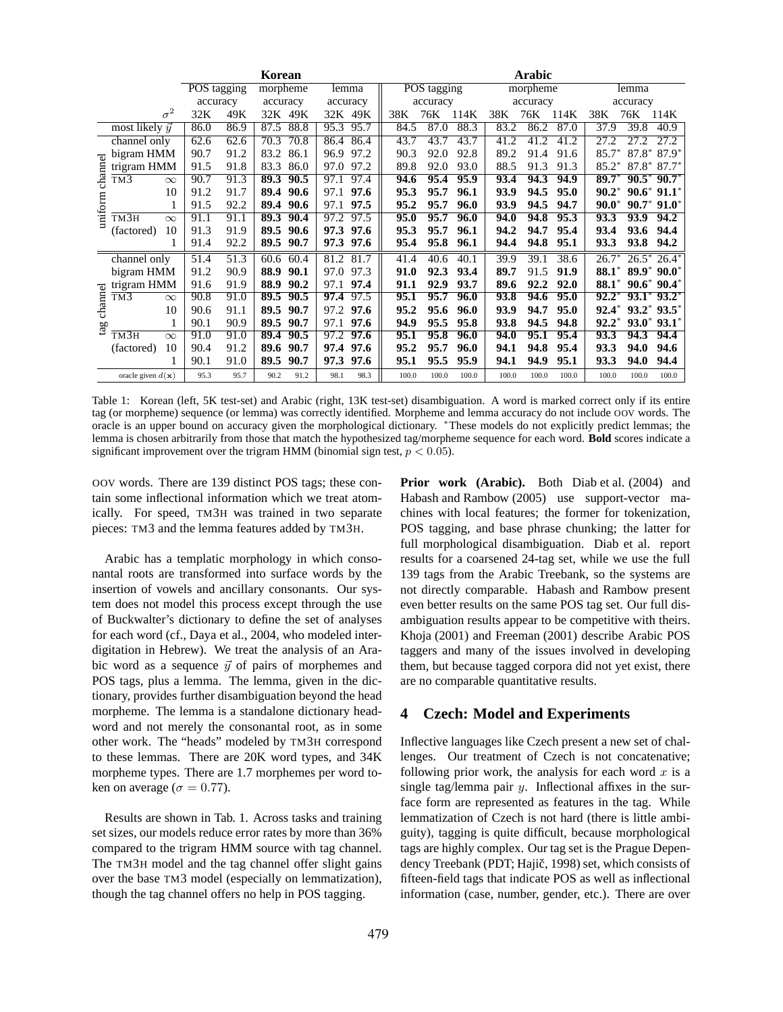|                                          |                       |             | Korean   |      |           |      |           | Arabic      |             |       |          |          |       |       |          |       |                            |
|------------------------------------------|-----------------------|-------------|----------|------|-----------|------|-----------|-------------|-------------|-------|----------|----------|-------|-------|----------|-------|----------------------------|
|                                          |                       | POS tagging |          |      | morpheme  |      | lemma     |             | POS tagging |       | morpheme |          |       | lemma |          |       |                            |
|                                          |                       |             | accuracy |      | accuracy  |      | accuracy  |             | accuracy    |       |          | accuracy |       |       | accuracy |       |                            |
|                                          |                       | $\sigma^2$  | 32K      | 49K  | 32K 49K   |      |           | 32K 49K     | 38K         | 76K   | 114K     | 38K      | 76K   | 114K  | 38K      | 76K   | 114K                       |
|                                          | most likely $\vec{y}$ |             | 86.0     | 86.9 | 87.5      | 88.8 | 95.3 95.7 |             | 84.5        | 87.0  | 88.3     | 83.2     | 86.2  | 87.0  | 37.9     | 39.8  | 40.9                       |
|                                          | channel only          |             | 62.6     | 62.6 | 70.3      | 70.8 | 86.4      | 86.4        | 43.7        | 43.7  | 43.7     | 41.2     | 41.2  | 41.2  | 27.2     | 27.2  | 27.2                       |
| $\overline{c}$                           | bigram HMM            |             | 90.7     | 91.2 | 83.2      | 86.1 | 96.9      | 97.2        | 90.3        | 92.0  | 92.8     | 89.2     | 91.4  | 91.6  | $85.7*$  |       | 87.8* 87.9*                |
| chann                                    | trigram HMM           |             | 91.5     | 91.8 | 83.3      | 86.0 | 97.0      | 97.2        | 89.8        | 92.0  | 93.0     | 88.5     | 91.3  | 91.3  |          |       | $85.2^*$ 87.8 $87.7^*$     |
|                                          | TM <sub>3</sub>       | $\infty$    | 90.7     | 91.3 | 89.3      | 90.5 | 97.1      | 97.4        | 94.6        | 95.4  | 95.9     | 93.4     | 94.3  | 94.9  | $89.7*$  |       | $90.5^*$ 90.7*             |
|                                          |                       | 10          | 91.2     | 91.7 | 89.4 90.6 |      |           | 97.1 97.6   | 95.3        | 95.7  | 96.1     | 93.9     | 94.5  | 95.0  |          |       | $90.2^*$ $90.6^*$ $91.1^*$ |
| uniform                                  |                       |             | 91.5     | 92.2 | 89.4      | 90.6 | 97.1      | 97.5        | 95.2        | 95.7  | 96.0     | 93.9     | 94.5  | 94.7  | $90.0*$  |       | $90.7^*$ 91.0 <sup>*</sup> |
|                                          | TM3H                  | $\infty$    | 91.1     | 91.1 | 89.3 90.4 |      |           | 97.2 97.5   | 95.0        | 95.7  | 96.0     | 94.0     | 94.8  | 95.3  | 93.3     | 93.9  | 94.2                       |
|                                          | (factored)            | 10          | 91.3     | 91.9 | 89.5      | 90.6 |           | 97.3 97.6   | 95.3        | 95.7  | 96.1     | 94.2     | 94.7  | 95.4  | 93.4     | 93.6  | 94.4                       |
|                                          |                       |             | 91.4     | 92.2 | 89.5      | 90.7 |           | 97.3 97.6   | 95.4        | 95.8  | 96.1     | 94.4     | 94.8  | 95.1  | 93.3     | 93.8  | 94.2                       |
|                                          | channel only          |             | 51.4     | 51.3 | 60.6      | 60.4 |           | 81.2 81.7   | 41.4        | 40.6  | 40.1     | 39.9     | 39.1  | 38.6  | $26.7*$  |       | $26.5^*$ 26.4*             |
|                                          | bigram HMM            |             | 91.2     | 90.9 | 88.9      | 90.1 | 97.0      | 97.3        | 91.0        | 92.3  | 93.4     | 89.7     | 91.5  | 91.9  | $88.1*$  |       | $89.9*90.0*$               |
| ಕ<br>channe<br><b>b</b><br>$\mathfrak a$ | trigram HMM           |             | 91.6     | 91.9 | 88.9      | 90.2 | 97.1      | 97.4        | 91.1        | 92.9  | 93.7     | 89.6     | 92.2  | 92.0  | $88.1*$  |       | $90.6^*$ 90.4*             |
|                                          | $\overline{T}M3$      | $\infty$    | 90.8     | 91.0 | 89.5      | 90.5 | 97.4      | 97.5        | 95.1        | 95.7  | 96.0     | 93.8     | 94.6  | 95.0  | $92.2*$  |       | $93.1^*$ $93.2^*$          |
|                                          |                       | 10          | 90.6     | 91.1 | 89.5      | 90.7 |           | 97.2 97.6   | 95.2        | 95.6  | 96.0     | 93.9     | 94.7  | 95.0  | $92.4*$  |       | $93.2^*$ $93.5^*$          |
|                                          |                       |             | 90.1     | 90.9 | 89.5      | 90.7 | 97.1      | 97.6        | 94.9        | 95.5  | 95.8     | 93.8     | 94.5  | 94.8  | $92.2*$  |       | $93.0^*$ $93.1^*$          |
|                                          | TM3H                  | $\infty$    | 91.0     | 91.0 | 89.4      | 90.5 |           | $97.2$ 97.6 | 95.1        | 95.8  | 96.0     | 94.0     | 95.1  | 95.4  | 93.3     | 94.3  | 94.4                       |
|                                          | (factored)            | 10          | 90.4     | 91.2 | 89.6      | 90.7 | 97.4      | 97.6        | 95.2        | 95.7  | 96.0     | 94.1     | 94.8  | 95.4  | 93.3     | 94.0  | 94.6                       |
|                                          |                       |             | 90.1     | 91.0 | 89.5      | 90.7 | 97.3      | 97.6        | 95.1        | 95.5  | 95.9     | 94.1     | 94.9  | 95.1  | 93.3     | 94.0  | 94.4                       |
| oracle given $d(\mathbf{x})$             |                       |             | 95.3     | 95.7 | 90.2      | 91.2 | 98.1      | 98.3        | 100.0       | 100.0 | 100.0    | 100.0    | 100.0 | 100.0 | 100.0    | 100.0 | 100.0                      |

Table 1: Korean (left, 5K test-set) and Arabic (right, 13K test-set) disambiguation. A word is marked correct only if its entire tag (or morpheme) sequence (or lemma) was correctly identified. Morpheme and lemma accuracy do not include OOV words. The oracle is an upper bound on accuracy given the morphological dictionary. \*These models do not explicitly predict lemmas; the lemma is chosen arbitrarily from those that match the hypothesized tag/morpheme sequence for each word. **Bold** scores indicate a significant improvement over the trigram HMM (binomial sign test,  $p < 0.05$ ).

OOV words. There are 139 distinct POS tags; these contain some inflectional information which we treat atomically. For speed, TM3H was trained in two separate pieces: TM3 and the lemma features added by TM3H.

Arabic has a templatic morphology in which consonantal roots are transformed into surface words by the insertion of vowels and ancillary consonants. Our system does not model this process except through the use of Buckwalter's dictionary to define the set of analyses for each word (cf., Daya et al., 2004, who modeled interdigitation in Hebrew). We treat the analysis of an Arabic word as a sequence  $\vec{y}$  of pairs of morphemes and POS tags, plus a lemma. The lemma, given in the dictionary, provides further disambiguation beyond the head morpheme. The lemma is a standalone dictionary headword and not merely the consonantal root, as in some other work. The "heads" modeled by TM3H correspond to these lemmas. There are 20K word types, and 34K morpheme types. There are 1.7 morphemes per word token on average ( $\sigma = 0.77$ ).

Results are shown in Tab. 1. Across tasks and training set sizes, our models reduce error rates by more than 36% compared to the trigram HMM source with tag channel. The TM3H model and the tag channel offer slight gains over the base TM3 model (especially on lemmatization), though the tag channel offers no help in POS tagging.

Prior work (Arabic). Both Diab et al. (2004) and Habash and Rambow (2005) use support-vector machines with local features; the former for tokenization, POS tagging, and base phrase chunking; the latter for full morphological disambiguation. Diab et al. report results for a coarsened 24-tag set, while we use the full 139 tags from the Arabic Treebank, so the systems are not directly comparable. Habash and Rambow present even better results on the same POS tag set. Our full disambiguation results appear to be competitive with theirs. Khoja (2001) and Freeman (2001) describe Arabic POS taggers and many of the issues involved in developing them, but because tagged corpora did not yet exist, there are no comparable quantitative results.

### **4 Czech: Model and Experiments**

Inflective languages like Czech present a new set of challenges. Our treatment of Czech is not concatenative; following prior work, the analysis for each word  $x$  is a single tag/lemma pair  $y$ . Inflectional affixes in the surface form are represented as features in the tag. While lemmatization of Czech is not hard (there is little ambiguity), tagging is quite difficult, because morphological tags are highly complex. Our tag set is the Prague Dependency Treebank (PDT; Hajič, 1998) set, which consists of fifteen-field tags that indicate POS as well as inflectional information (case, number, gender, etc.). There are over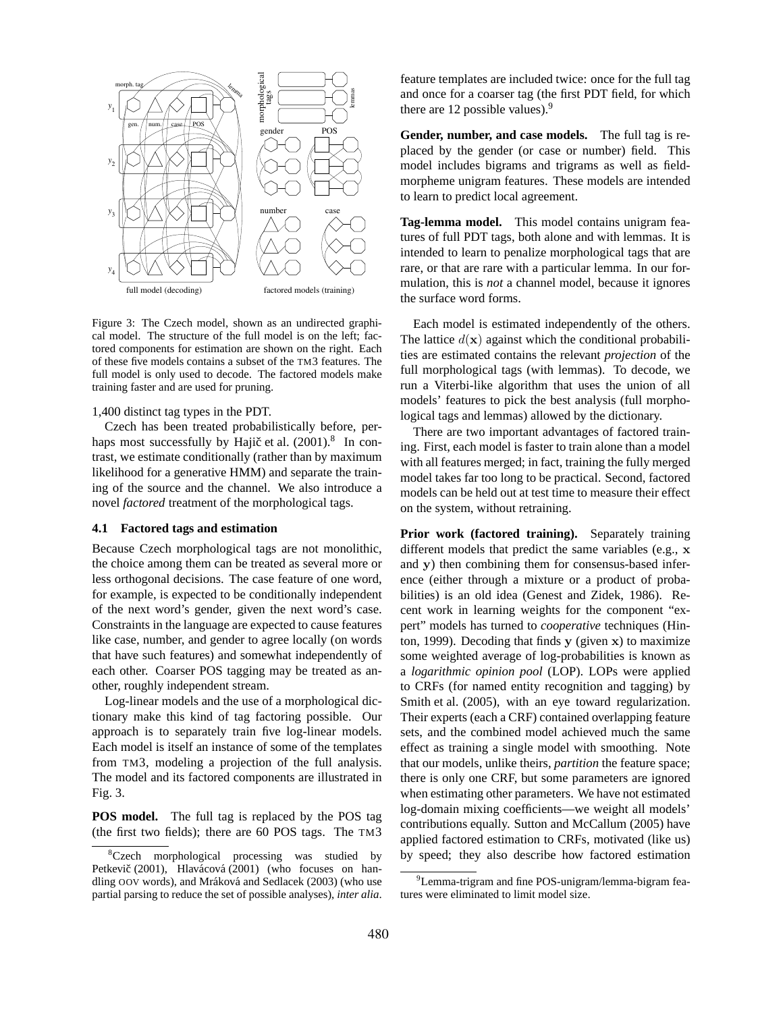

Figure 3: The Czech model, shown as an undirected graphical model. The structure of the full model is on the left; factored components for estimation are shown on the right. Each of these five models contains a subset of the TM3 features. The full model is only used to decode. The factored models make training faster and are used for pruning.

#### 1,400 distinct tag types in the PDT.

Czech has been treated probabilistically before, perhaps most successfully by Hajič et al. (2001).<sup>8</sup> In contrast, we estimate conditionally (rather than by maximum likelihood for a generative HMM) and separate the training of the source and the channel. We also introduce a novel *factored* treatment of the morphological tags.

### **4.1 Factored tags and estimation**

Because Czech morphological tags are not monolithic, the choice among them can be treated as several more or less orthogonal decisions. The case feature of one word, for example, is expected to be conditionally independent of the next word's gender, given the next word's case. Constraints in the language are expected to cause features like case, number, and gender to agree locally (on words that have such features) and somewhat independently of each other. Coarser POS tagging may be treated as another, roughly independent stream.

Log-linear models and the use of a morphological dictionary make this kind of tag factoring possible. Our approach is to separately train five log-linear models. Each model is itself an instance of some of the templates from TM3, modeling a projection of the full analysis. The model and its factored components are illustrated in Fig. 3.

**POS model.** The full tag is replaced by the POS tag (the first two fields); there are 60 POS tags. The TM3 feature templates are included twice: once for the full tag and once for a coarser tag (the first PDT field, for which there are 12 possible values). $9$ 

**Gender, number, and case models.** The full tag is replaced by the gender (or case or number) field. This model includes bigrams and trigrams as well as fieldmorpheme unigram features. These models are intended to learn to predict local agreement.

**Tag-lemma model.** This model contains unigram features of full PDT tags, both alone and with lemmas. It is intended to learn to penalize morphological tags that are rare, or that are rare with a particular lemma. In our formulation, this is *not* a channel model, because it ignores the surface word forms.

Each model is estimated independently of the others. The lattice  $d(\mathbf{x})$  against which the conditional probabilities are estimated contains the relevant *projection* of the full morphological tags (with lemmas). To decode, we run a Viterbi-like algorithm that uses the union of all models' features to pick the best analysis (full morphological tags and lemmas) allowed by the dictionary.

There are two important advantages of factored training. First, each model is faster to train alone than a model with all features merged; in fact, training the fully merged model takes far too long to be practical. Second, factored models can be held out at test time to measure their effect on the system, without retraining.

Prior work (factored training). Separately training different models that predict the same variables (e.g., x and y) then combining them for consensus-based inference (either through a mixture or a product of probabilities) is an old idea (Genest and Zidek, 1986). Recent work in learning weights for the component "expert" models has turned to *cooperative* techniques (Hinton, 1999). Decoding that finds  $y$  (given  $x$ ) to maximize some weighted average of log-probabilities is known as a *logarithmic opinion pool* (LOP). LOPs were applied to CRFs (for named entity recognition and tagging) by Smith et al. (2005), with an eye toward regularization. Their experts (each a CRF) contained overlapping feature sets, and the combined model achieved much the same effect as training a single model with smoothing. Note that our models, unlike theirs, *partition* the feature space; there is only one CRF, but some parameters are ignored when estimating other parameters. We have not estimated log-domain mixing coefficients—we weight all models' contributions equally. Sutton and McCallum (2005) have applied factored estimation to CRFs, motivated (like us) by speed; they also describe how factored estimation

<sup>&</sup>lt;sup>8</sup>Czech morphological processing was studied by Petkevič (2001), Hlavácová (2001) (who focuses on handling OOV words), and Mráková and Sedlacek (2003) (who use partial parsing to reduce the set of possible analyses), *inter alia*.

<sup>9</sup>Lemma-trigram and fine POS-unigram/lemma-bigram features were eliminated to limit model size.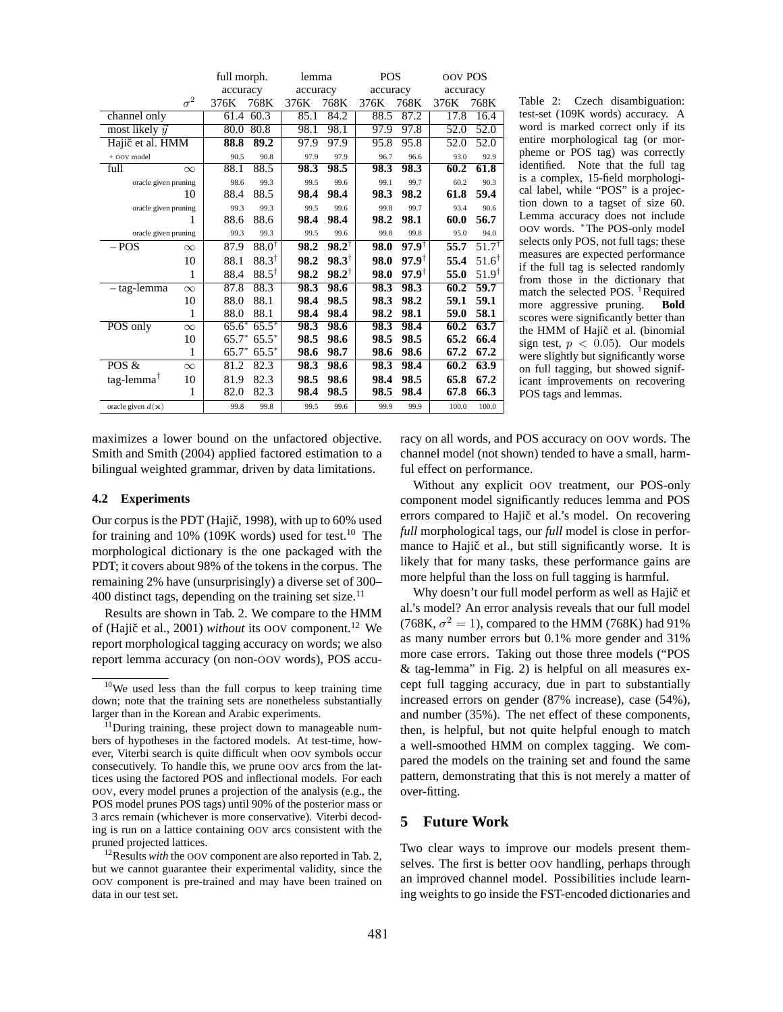|                              | full morph.       | lemma            | POS              | <b>OOV POS</b>   |  |  |
|------------------------------|-------------------|------------------|------------------|------------------|--|--|
|                              | accuracy          | accuracy         | accuracy         | accuracy         |  |  |
| $\sigma^2$                   | 768K              | 376K             | 376K             | 376K             |  |  |
|                              | 376K              | 768K             | 768K             | 768K             |  |  |
| channel only                 | $\overline{60.3}$ | 84.2             | 87.2             | 17.8             |  |  |
|                              | 61.4              | 85.1             | 88.5             | 16.4             |  |  |
| most likely $\vec{y}$        | 80.8              | 98.1             | 97.8             | 52.0             |  |  |
|                              | 80.0              | 98.1             | 97.9             | 52.0             |  |  |
| Hajič et al. HMM             | 88.8              | 97.9             | 95.8             | 52.0             |  |  |
|                              | 89.2              | 97.9             | 95.8             | 52.0             |  |  |
| + OOV model                  | 90.8              | 97.9             | 96.6             | 92.9             |  |  |
|                              | 90.5              | 97.9             | 96.7             | 93.0             |  |  |
| full                         | 88.5              | 98.5             | 98.3             | 60.2             |  |  |
| $\infty$                     | 88.1              | 98.3             | 98.3             | 61.8             |  |  |
| oracle given pruning         | 99.3              | 99.6             | 99.7             | 90.3             |  |  |
|                              | 98.6              | 99.5             | 99.1             | 60.2             |  |  |
| 10                           | 88.5              | 98.4             | 98.3             | 61.8             |  |  |
|                              | 88.4              | 98.4             | 98.2             | 59.4             |  |  |
| oracle given pruning         | 99.3              | 99.5             | 99.7             | 93.4             |  |  |
|                              | 99.3              | 99.6             | 99.8             | 90.6             |  |  |
| 1                            | 88.6              | 98.4             | 98.2             | 60.0             |  |  |
|                              | 88.6              | 98.4             | 98.1             | 56.7             |  |  |
| oracle given pruning         | 99.3              | 99.6             | 99.8             | 94.0             |  |  |
|                              | 99.3              | 99.5             | 99.8             | 95.0             |  |  |
| $-$ POS                      | 88.0 <sup>†</sup> | $98.2^{\dagger}$ | $97.9^{\dagger}$ | $51.7^{\dagger}$ |  |  |
| $\infty$                     | 87.9              | 98.2             | 98.0             | 55.7             |  |  |
| 10                           | $88.3^{\dagger}$  | $98.3^{\dagger}$ | $97.9^{\dagger}$ | $51.6^{\dagger}$ |  |  |
|                              | 88.1              | 98.2             | 98.0             | 55.4             |  |  |
| 1                            | $88.5^{\dagger}$  | $98.2^{\dagger}$ | $97.9^{\dagger}$ | $51.9^{\dagger}$ |  |  |
|                              | 88.4              | 98.2             | 98.0             | 55.0             |  |  |
| $-$ tag-lemma                | 88.3              | 98.6             | 98.3             | 59.7             |  |  |
| $\infty$                     | 87.8              | 98.3             | 98.3             | 60.2             |  |  |
| 10                           | 88.1              | 98.4             | 98.3             | 59.1             |  |  |
|                              | 88.0              | 98.5             | 98.2             | 59.1             |  |  |
| 1                            | 88.1              | 98.4             | 98.2             | 59.0             |  |  |
|                              | 88.0              | 98.4             | 98.1             | 58.1             |  |  |
| POS only                     | $65.6*$           | 98.3             | 98.4             | 63.7             |  |  |
| $\infty$                     | $65.5*$           | 98.6             | 98.3             | 60.2             |  |  |
| 10                           | $65.7*$           | 98.5             | 98.5             | 65.2             |  |  |
|                              | $65.5*$           | 98.6             | 98.5             | 66.4             |  |  |
| 1                            | $65.5*$           | 98.6             | 98.6             | 67.2             |  |  |
|                              | $65.7*$           | 98.7             | 98.6             | 67.2             |  |  |
| POS &                        | 81.2              | 98.3             | 98.3             | 60.2             |  |  |
| $\infty$                     | 82.3              | 98.6             | 98.4             | 63.9             |  |  |
| tag-lemma <sup>†</sup>       | 82.3              | 98.5             | 98.4             | 65.8             |  |  |
| 10                           | 81.9              | 98.6             | 98.5             | 67.2             |  |  |
| 1                            | 82.3              | 98.4             | 98.5             | 67.8             |  |  |
|                              | 82.0              | 98.5             | 98.4             | 66.3             |  |  |
| oracle given $d(\mathbf{x})$ | 99.8              | 99.5             | 99.9             | 100.0            |  |  |
|                              | 99.8              | 99.6             | 99.9             | 100.0            |  |  |

Table 2: Czech disambiguation: test-set (109K words) accuracy. A word is marked correct only if its entire morphological tag (or morpheme or POS tag) was correctly identified. Note that the full tag is a complex, 15-field morphological label, while "POS" is a projection down to a tagset of size 60. Lemma accuracy does not include OOV words. <sup>∗</sup>The POS-only model selects only POS, not full tags; these measures are expected performance if the full tag is selected randomly from those in the dictionary that match the selected POS. †Required more aggressive pruning. **Bold** scores were significantly better than the HMM of Hajič et al. (binomial sign test,  $p < 0.05$ ). Our models were slightly but significantly worse on full tagging, but showed significant improvements on recovering POS tags and lemmas.

maximizes a lower bound on the unfactored objective. Smith and Smith (2004) applied factored estimation to a bilingual weighted grammar, driven by data limitations.

### **4.2 Experiments**

Our corpus is the PDT (Hajič, 1998), with up to  $60\%$  used for training and  $10\%$  (109K words) used for test.<sup>10</sup> The morphological dictionary is the one packaged with the PDT; it covers about 98% of the tokens in the corpus. The remaining 2% have (unsurprisingly) a diverse set of 300– 400 distinct tags, depending on the training set size.<sup>11</sup>

Results are shown in Tab. 2. We compare to the HMM of (Hajič et al., 2001) *without* its OOV component.<sup>12</sup> We report morphological tagging accuracy on words; we also report lemma accuracy (on non-OOV words), POS accuracy on all words, and POS accuracy on OOV words. The channel model (not shown) tended to have a small, harmful effect on performance.

Without any explicit OOV treatment, our POS-only component model significantly reduces lemma and POS errors compared to Hajič et al.'s model. On recovering *full* morphological tags, our *full* model is close in performance to Hajič et al., but still significantly worse. It is likely that for many tasks, these performance gains are more helpful than the loss on full tagging is harmful.

Why doesn't our full model perform as well as Hajič et al.'s model? An error analysis reveals that our full model (768K,  $\sigma^2 = 1$ ), compared to the HMM (768K) had 91% as many number errors but 0.1% more gender and 31% more case errors. Taking out those three models ("POS & tag-lemma" in Fig. 2) is helpful on all measures except full tagging accuracy, due in part to substantially increased errors on gender (87% increase), case (54%), and number (35%). The net effect of these components, then, is helpful, but not quite helpful enough to match a well-smoothed HMM on complex tagging. We compared the models on the training set and found the same pattern, demonstrating that this is not merely a matter of over-fitting.

# **5 Future Work**

Two clear ways to improve our models present themselves. The first is better OOV handling, perhaps through an improved channel model. Possibilities include learning weights to go inside the FST-encoded dictionaries and

<sup>10</sup>We used less than the full corpus to keep training time down; note that the training sets are nonetheless substantially larger than in the Korean and Arabic experiments.

<sup>&</sup>lt;sup>11</sup>During training, these project down to manageable numbers of hypotheses in the factored models. At test-time, however, Viterbi search is quite difficult when OOV symbols occur consecutively. To handle this, we prune OOV arcs from the lattices using the factored POS and inflectional models. For each OOV, every model prunes a projection of the analysis (e.g., the POS model prunes POS tags) until 90% of the posterior mass or 3 arcs remain (whichever is more conservative). Viterbi decoding is run on a lattice containing OOV arcs consistent with the pruned projected lattices.

<sup>&</sup>lt;sup>12</sup>Results *with* the OOV component are also reported in Tab. 2, but we cannot guarantee their experimental validity, since the OOV component is pre-trained and may have been trained on data in our test set.